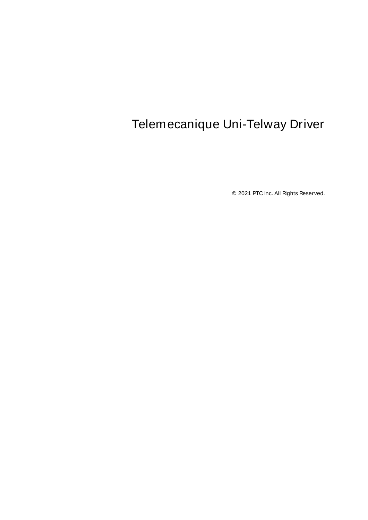# <span id="page-0-0"></span>Telemecanique Uni-Telway Driver

© 2021 PTC Inc. All Rights Reserved.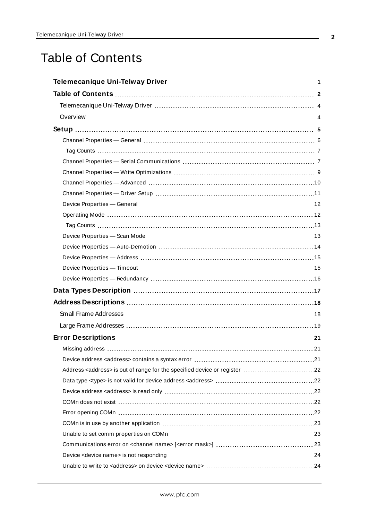# <span id="page-1-0"></span>Table of Contents

| Data Types Description manufacture and the control of the USA of the USA of the USA of the USA of the USA of t |
|----------------------------------------------------------------------------------------------------------------|
|                                                                                                                |
|                                                                                                                |
|                                                                                                                |
|                                                                                                                |
|                                                                                                                |
|                                                                                                                |
|                                                                                                                |
|                                                                                                                |
|                                                                                                                |
|                                                                                                                |
|                                                                                                                |
|                                                                                                                |
|                                                                                                                |
|                                                                                                                |
|                                                                                                                |
|                                                                                                                |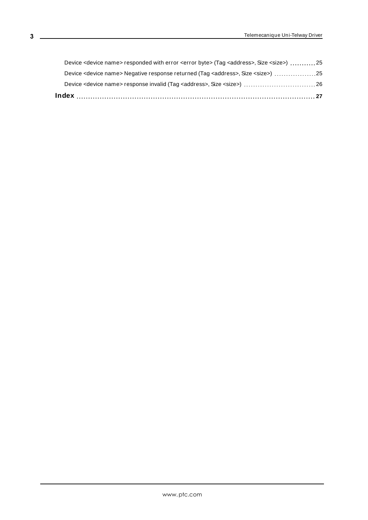| Device <device name=""> responded with error <error byte=""> (Tag <address>, Size <size>) 25</size></address></error></device> |  |
|--------------------------------------------------------------------------------------------------------------------------------|--|

<u> 1989 - Johann Barbara, martxa amerikan personal (</u>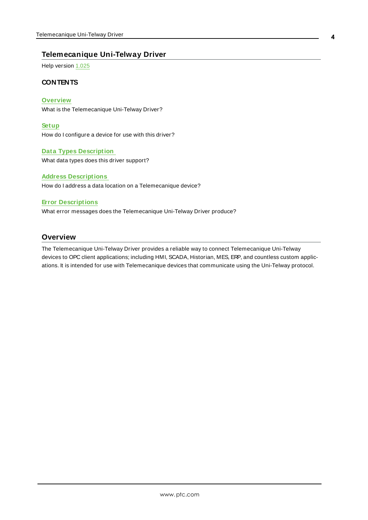## <span id="page-3-0"></span>**Telemecanique Uni-Telway Driver**

Help version 1.025

#### **CONTENTS**

#### **Overview**

What is the Telemecanique Uni-Telway Driver?

#### **Setup**

How do I configure a device for use with this driver?

#### **Data Types Description**

What data types does this driver support?

#### **Address Descriptions**

How do I address a data location on a Telemecanique device?

#### **Error Descriptions**

What error messages does the Telemecanique Uni-Telway Driver produce?

## <span id="page-3-1"></span>**Overview**

The Telemecanique Uni-Telway Driver provides a reliable way to connect Telemecanique Uni-Telway devices to OPC client applications; including HMI, SCADA, Historian, MES, ERP, and countless custom applications. It is intended for use with Telemecanique devices that communicate using the Uni-Telway protocol.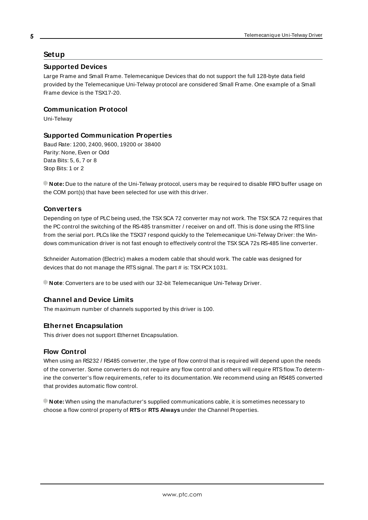### <span id="page-4-0"></span>**Setup**

#### <span id="page-4-4"></span>**Supported Devices**

Large Frame and Small Frame. Telemecanique Devices that do not support the full 128-byte data field provided by the Telemecanique Uni-Telway protocol are considered Small Frame. One example of a Small Frame device is the TSX17-20.

#### <span id="page-4-6"></span>**Communication Protocol**

Uni-Telway

#### <span id="page-4-1"></span>**Supported Communication Properties**

<span id="page-4-5"></span>Baud Rate: 1200, 2400, 9600, 19200 or 38400 Parity: None, Even or Odd Data Bits: 5, 6, 7 or 8 Stop Bits: 1 or 2

**Note:** Due to the nature of the Uni-Telway protocol, users may be required to disable FIFO buffer usage on the COM port(s) that have been selected for use with this driver.

#### <span id="page-4-2"></span>**Converters**

Depending on type of PLC being used, the TSXSCA 72 converter may not work. The TSXSCA 72 requires that the PC control the switching of the RS-485 transmitter / receiver on and off. This is done using the RTSline from the serial port. PLCs like the TSX37 respond quickly to the Telemecanique Uni-Telway Driver: the Windows communication driver is not fast enough to effectively control the TSX SCA 72s RS-485 line converter.

Schneider Automation (Electric) makes a modem cable that should work. The cable was designed for devices that do not manage the RTS signal. The part # is: TSX PCX 1031.

**Note**: Converters are to be used with our 32-bit Telemecanique Uni-Telway Driver.

#### **Channel and Device Limits**

The maximum number of channels supported by this driver is 100.

#### **Ethernet Encapsulation**

<span id="page-4-3"></span>This driver does not support Ethernet Encapsulation.

#### <span id="page-4-7"></span>**Flow Control**

When using an RS232 / RS485 converter, the type of flow control that is required will depend upon the needs of the converter. Some converters do not require any flow control and others will require RTSflow.To determine the converter's flow requirements, refer to its documentation. We recommend using an RS485 converted that provides automatic flow control.

**Note:** When using the manufacturer's supplied communications cable, it is sometimes necessary to choose a flow control property of **RTS**or **RTS Always** under the Channel Properties.

**5**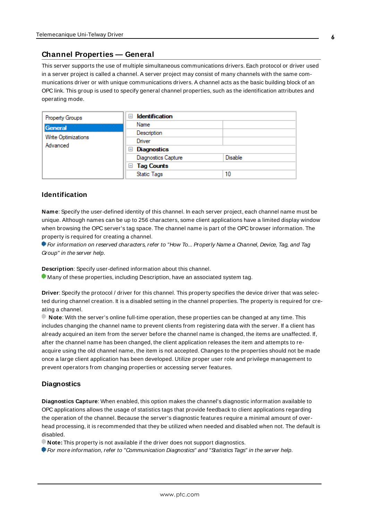## <span id="page-5-0"></span>**Channel Properties — General**

This server supports the use of multiple simultaneous communications drivers. Each protocol or driver used in a server project is called a channel. A server project may consist of many channels with the same communications driver or with unique communications drivers. A channel acts as the basic building block of an OPC link. This group is used to specify general channel properties, such as the identification attributes and operating mode.

| Property Groups     | <b>Identification</b><br>н |                |
|---------------------|----------------------------|----------------|
| General             | Name                       |                |
| Write Optimizations | Description                |                |
|                     | Driver                     |                |
| Advanced            | Diagnostics<br>ь           |                |
|                     | <b>Diagnostics Capture</b> | <b>Disable</b> |
|                     | $\Box$ Tag Counts          |                |
|                     | <b>Static Tags</b>         | 10             |

#### <span id="page-5-2"></span>**Identification**

**Name**: Specify the user-defined identity of this channel. In each server project, each channel name must be unique. Although names can be up to 256 characters, some client applications have a limited display window when browsing the OPC server's tag space. The channel name is part of the OPC browser information. The property is required for creating a channel.

For information on reserved characters, refer to "How To... Properly Name a Channel, Device, Tag, and Tag Group" in the server help.

**Description**: Specify user-defined information about this channel.

Many of these properties, including Description, have an associated system tag.

**Driver**: Specify the protocol / driver for this channel. This property specifies the device driver that was selected during channel creation. It is a disabled setting in the channel properties. The property is required for creating a channel.

**Note**: With the server's online full-time operation, these properties can be changed at any time. This includes changing the channel name to prevent clients from registering data with the server. If a client has already acquired an item from the server before the channel name is changed, the items are unaffected. If, after the channel name has been changed, the client application releases the item and attempts to reacquire using the old channel name, the item is not accepted. Changes to the properties should not be made once a large client application has been developed. Utilize proper user role and privilege management to prevent operators from changing properties or accessing server features.

#### <span id="page-5-1"></span>**Diagnostics**

**Diagnostics Capture**: When enabled, this option makes the channel's diagnostic information available to OPC applications allows the usage of statistics tags that provide feedback to client applications regarding the operation of the channel. Because the server's diagnostic features require a minimal amount of overhead processing, it is recommended that they be utilized when needed and disabled when not. The default is disabled.

**Note:** This property is not available if the driver does not support diagnostics.

**For more information, refer to "Communication Diagnostics" and "Statistics Tags" in the server help.**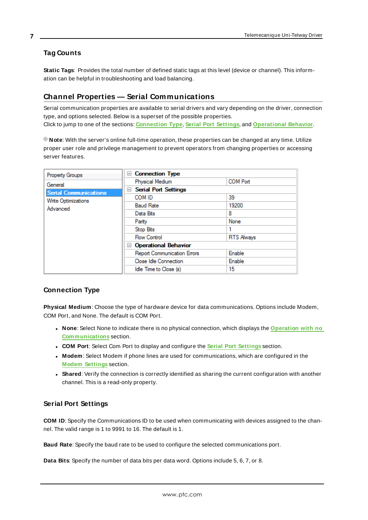## <span id="page-6-0"></span>**Tag Counts**

**Static Tags**: Provides the total number of defined static tags at this level (device or channel). This information can be helpful in troubleshooting and load balancing.

## <span id="page-6-1"></span>**Channel Properties — Serial Communications**

Serial communication properties are available to serial drivers and vary depending on the driver, connection type, and options selected. Below is a superset of the possible properties. Click to jump to one of the sections: **[Connection](#page-6-2) Type**, **Serial Port [Settings](#page-6-3)**, and **[Operational](#page-7-0) Behavior**.

**Note**: With the server's online full-time operation, these properties can be changed at any time. Utilize proper user role and privilege management to prevent operators from changing properties or accessing server features.

| Property Groups              | □ Connection Type                  |                   |
|------------------------------|------------------------------------|-------------------|
| General                      | Physical Medium                    | <b>COM Port</b>   |
| <b>Serial Communications</b> | <b>Serial Port Settings</b><br>$=$ |                   |
| <b>Write Optimizations</b>   | COM ID                             | 39                |
| Advanced                     | <b>Baud Rate</b>                   | 19200             |
|                              | Data Bits                          | 8                 |
|                              | Parity                             | None              |
|                              | Stop Bits                          |                   |
|                              | <b>Flow Control</b>                | <b>RTS Always</b> |
|                              | □ Operational Behavior             |                   |
|                              | <b>Report Communication Errors</b> | Enable            |
|                              | Close Idle Connection              | Enable            |
|                              | Idle Time to Close (s)             | 15                |

## <span id="page-6-10"></span><span id="page-6-2"></span>**Connection Type**

**Physical Medium**: Choose the type of hardware device for data communications. Options include Modem, COM Port, and None. The default is COM Port.

- <span id="page-6-9"></span><sup>l</sup> **None**: Select None to indicate there is no physical connection, which displays the **[Operation](#page-8-1) with no [Communications](#page-8-1)** section.
- <span id="page-6-8"></span><span id="page-6-6"></span><sup>l</sup> **COM Port**: Select Com Port to display and configure the **Serial Port [Settings](#page-6-3)** section.
- **Modem**: Select Modem if phone lines are used for communications, which are configured in the **Modem [Settings](#page-7-1)** section.
- <span id="page-6-11"></span>**Shared**: Verify the connection is correctly identified as sharing the current configuration with another channel. This is a read-only property.

## <span id="page-6-5"></span><span id="page-6-3"></span>**Serial Port Settings**

**COM ID**: Specify the Communications ID to be used when communicating with devices assigned to the channel. The valid range is 1 to 9991 to 16. The default is 1.

<span id="page-6-7"></span><span id="page-6-4"></span>**Baud Rate**: Specify the baud rate to be used to configure the selected communications port.

**Data Bits**: Specify the number of data bits per data word. Options include 5, 6, 7, or 8.

**7**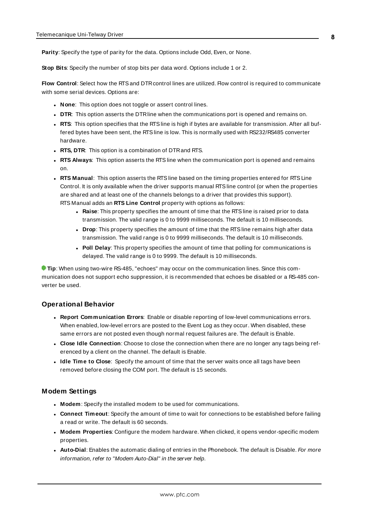<span id="page-7-15"></span><span id="page-7-9"></span>**Parity**: Specify the type of parity for the data. Options include Odd, Even, or None.

<span id="page-7-7"></span>**Stop Bits**: Specify the number of stop bits per data word. Options include 1 or 2.

Flow Control: Select how the RTS and DTR control lines are utilized. Flow control is required to communicate with some serial devices. Options are:

- <span id="page-7-6"></span>**None**: This option does not toggle or assert control lines.
- <span id="page-7-14"></span>**DTR:** This option asserts the DTR line when the communications port is opened and remains on.
- **RTS:** This option specifies that the RTS line is high if bytes are available for transmission. After all buffered bytes have been sent, the RTSline is low. This is normally used with RS232/RS485 converter hardware.
- **RTS, DTR:** This option is a combination of DTR and RTS.
- <sup>l</sup> **RTS Always**: This option asserts the RTSline when the communication port is opened and remains on.
- <span id="page-7-11"></span><span id="page-7-5"></span><sup>l</sup> **RTS Manual**: This option asserts the RTSline based on the timing properties entered for RTSLine Control. It is only available when the driver supports manual RTSline control (or when the properties are shared and at least one of the channels belongs to a driver that provides this support). RTS Manual adds an **RTS Line Control** property with options as follows:
	- **Raise**: This property specifies the amount of time that the RTS line is raised prior to data transmission. The valid range is 0 to 9999 milliseconds. The default is 10 milliseconds.
	- **Drop**: This property specifies the amount of time that the RTS line remains high after data transmission. The valid range is 0 to 9999 milliseconds. The default is 10 milliseconds.
	- **Poll Delay**: This property specifies the amount of time that polling for communications is delayed. The valid range is 0 to 9999. The default is 10 milliseconds.

<span id="page-7-13"></span><span id="page-7-10"></span>**Tip**: When using two-wire RS-485, "echoes" may occur on the communication lines. Since this communication does not support echo suppression, it is recommended that echoes be disabled or a RS-485 converter be used.

#### <span id="page-7-0"></span>**Operational Behavior**

- <span id="page-7-12"></span><sup>l</sup> **Report Communication Errors**: Enable or disable reporting of low-level communications errors. When enabled, low-level errors are posted to the Event Log as they occur. When disabled, these same errors are not posted even though normal request failures are. The default is Enable.
- <span id="page-7-8"></span><span id="page-7-3"></span><sup>l</sup> **Close Idle Connection**: Choose to close the connection when there are no longer any tags being referenced by a client on the channel. The default is Enable.
- **.** Idle Time to Close: Specify the amount of time that the server waits once all tags have been removed before closing the COM port. The default is 15 seconds.

#### <span id="page-7-1"></span>**Modem Settings**

- <span id="page-7-4"></span>**Modem**: Specify the installed modem to be used for communications.
- **Connect Timeout**: Specify the amount of time to wait for connections to be established before failing a read or write. The default is 60 seconds.
- <sup>l</sup> **Modem Properties**: Configure the modem hardware. When clicked, it opens vendor-specific modem properties.
- <span id="page-7-2"></span>**• Auto-Dial**: Enables the automatic dialing of entries in the Phonebook. The default is Disable. For more information, refer to "Modem Auto-Dial" in the server help.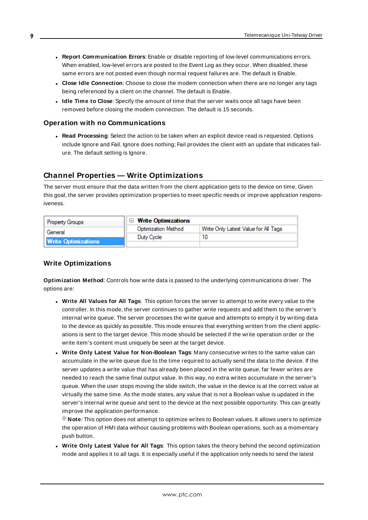- <sup>l</sup> **Report Communication Errors**: Enable or disable reporting of low-level communications errors. When enabled, low-level errors are posted to the Event Log as they occur. When disabled, these same errors are not posted even though normal request failures are. The default is Enable.
- **Close Idle Connection**: Choose to close the modem connection when there are no longer any tags being referenced by a client on the channel. The default is Enable.
- <sup>l</sup> **Idle Time to Close**: Specify the amount of time that the server waits once all tags have been removed before closing the modem connection. The default is 15 seconds.

#### <span id="page-8-1"></span>**Operation with no Communications**

<span id="page-8-4"></span>**Read Processing**: Select the action to be taken when an explicit device read is requested. Options include Ignore and Fail. Ignore does nothing; Fail provides the client with an update that indicates failure. The default setting is Ignore.

### <span id="page-8-0"></span>**Channel Properties — Write Optimizations**

The server must ensure that the data written from the client application gets to the device on time. Given this goal, the server provides optimization properties to meet specific needs or improve application responsiveness.

| <b>Property Groups</b>     | $\Box$ Write Optimizations |                                      |
|----------------------------|----------------------------|--------------------------------------|
| General                    | <b>Optimization Method</b> | Write Only Latest Value for All Tags |
|                            | Duty Cycle                 |                                      |
| <b>Write Optimizations</b> |                            |                                      |

#### <span id="page-8-3"></span><span id="page-8-2"></span>**Write Optimizations**

**Optimization Method**: Controls how write data is passed to the underlying communications driver. The options are:

- <span id="page-8-5"></span><sup>l</sup> **Write All Values for All Tags**: This option forces the server to attempt to write every value to the controller. In this mode, the server continues to gather write requests and add them to the server's internal write queue. The server processes the write queue and attempts to empty it by writing data to the device as quickly as possible. This mode ensures that everything written from the client applications is sent to the target device. This mode should be selected if the write operation order or the write item's content must uniquely be seen at the target device.
- <span id="page-8-6"></span><sup>l</sup> **Write Only Latest Value for Non-Boolean Tags**: Many consecutive writes to the same value can accumulate in the write queue due to the time required to actually send the data to the device. If the server updates a write value that has already been placed in the write queue, far fewer writes are needed to reach the same final output value. In this way, no extra writes accumulate in the server's queue. When the user stops moving the slide switch, the value in the device is at the correct value at virtually the same time. As the mode states, any value that is not a Boolean value is updated in the server's internal write queue and sent to the device at the next possible opportunity. This can greatly improve the application performance.

**Note**: This option does not attempt to optimize writes to Boolean values. It allows users to optimize the operation of HMI data without causing problems with Boolean operations, such as a momentary push button.

**.** Write Only Latest Value for All Tags: This option takes the theory behind the second optimization mode and applies it to all tags. It is especially useful if the application only needs to send the latest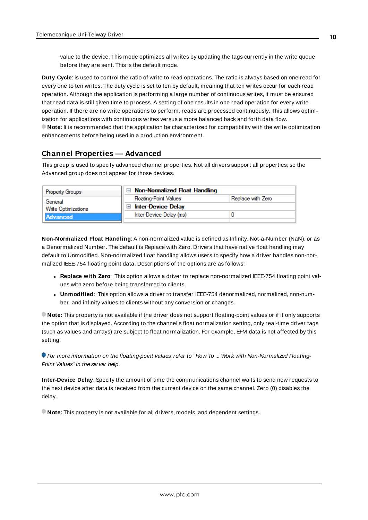<span id="page-9-6"></span>value to the device. This mode optimizes all writes by updating the tags currently in the write queue before they are sent. This is the default mode.

<span id="page-9-1"></span>**Duty Cycle**: is used to control the ratio of write to read operations. The ratio is always based on one read for every one to ten writes. The duty cycle is set to ten by default, meaning that ten writes occur for each read operation. Although the application is performing a large number of continuous writes, it must be ensured that read data is still given time to process. A setting of one results in one read operation for every write operation. If there are no write operations to perform, reads are processed continuously. This allows optimization for applications with continuous writes versus a more balanced back and forth data flow. **Note**: It is recommended that the application be characterized for compatibility with the write optimization enhancements before being used in a production environment.

## <span id="page-9-0"></span>**Channel Properties — Advanced**

This group is used to specify advanced channel properties. Not all drivers support all properties; so the Advanced group does not appear for those devices.

| <b>Property Groups</b> | $\Box$ Non-Normalized Float Handling |                   |
|------------------------|--------------------------------------|-------------------|
| General                | <b>Floating-Point Values</b>         | Replace with Zero |
| Write Optimizations    | <b>Inter-Device Delay</b>            |                   |
| <b>Advanced</b>        | Inter-Device Delay (ms)              |                   |
|                        |                                      |                   |

<span id="page-9-3"></span>**Non-Normalized Float Handling**: A non-normalized value is defined as Infinity, Not-a-Number (NaN), or as a Denormalized Number. The default is Replace with Zero. Drivers that have native float handling may default to Unmodified. Non-normalized float handling allows users to specify how a driver handles non-normalized IEEE-754 floating point data. Descriptions of the options are as follows:

- <span id="page-9-4"></span><sup>l</sup> **Replace with Zero**: This option allows a driver to replace non-normalized IEEE-754 floating point values with zero before being transferred to clients.
- <span id="page-9-5"></span><sup>l</sup> **Unmodified**: This option allows a driver to transfer IEEE-754 denormalized, normalized, non-number, and infinity values to clients without any conversion or changes.

**Note:** This property is not available if the driver does not support floating-point values or if it only supports the option that is displayed. According to the channel's float normalization setting, only real-time driver tags (such as values and arrays) are subject to float normalization. For example, EFM data is not affected by this setting.

For more information on the floating-point values, refer to "How To ... Work with Non-Normalized Floating-Point Values" in the server help.

<span id="page-9-2"></span>**Inter-Device Delay**: Specify the amount of time the communications channel waits to send new requests to the next device after data is received from the current device on the same channel. Zero (0) disables the delay.

**Note:** This property is not available for all drivers, models, and dependent settings.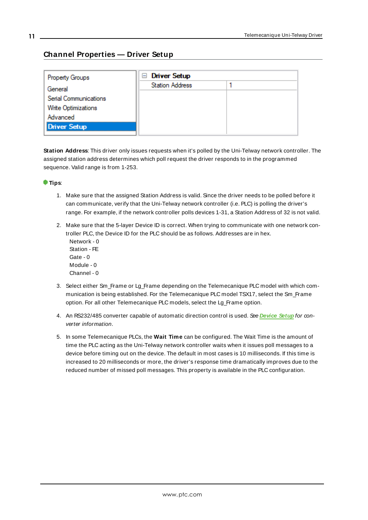## <span id="page-10-0"></span>**Channel Properties — Driver Setup**

| Property Groups       | $\Box$ Driver Setup    |  |
|-----------------------|------------------------|--|
| General               | <b>Station Address</b> |  |
| Serial Communications |                        |  |
| Write Optimizations   |                        |  |
| Advanced              |                        |  |
| <b>Driver Setup</b>   |                        |  |
|                       |                        |  |

<span id="page-10-1"></span>**Station Address**: This driver only issues requests when it's polled by the Uni-Telway network controller. The assigned station address determines which poll request the driver responds to in the programmed sequence. Valid range is from 1-253.

#### **Tips**:

- 1. Make sure that the assigned Station Address is valid. Since the driver needs to be polled before it can communicate, verify that the Uni-Telway network controller (i.e. PLC) is polling the driver's range. For example, if the network controller polls devices 1-31, a Station Address of 32 is not valid.
- 2. Make sure that the 5-layer Device ID is correct. When trying to communicate with one network controller PLC, the Device ID for the PLC should be as follows. Addresses are in hex.
	- Network 0 Station - FE Gate - 0 Module - 0 Channel - 0
- 3. Select either Sm\_Frame or Lg\_Frame depending on the Telemecanique PLC model with which communication is being established. For the Telemecanique PLC model TSX17, select the Sm\_Frame option. For all other Telemecanique PLC models, select the Lg\_Frame option.
- 4. An RS232/485 converter capable of automatic direction control is used. See **[Device](#page-4-0) Setup** for converter information.
- 5. In some Telemecanique PLCs, the **Wait Time** can be configured. The Wait Time is the amount of time the PLC acting as the Uni-Telway network controller waits when it issues poll messages to a device before timing out on the device. The default in most cases is 10 milliseconds. If this time is increased to 20 milliseconds or more, the driver's response time dramatically improves due to the reduced number of missed poll messages. This property is available in the PLC configuration.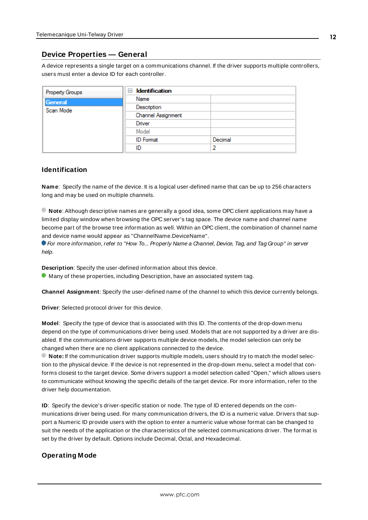## <span id="page-11-0"></span>**Device Properties — General**

A device represents a single target on a communications channel. If the driver supports multiple controllers, users must enter a device ID for each controller.

| <b>Property Groups</b> | $\Box$ Identification |         |
|------------------------|-----------------------|---------|
| General                | Name                  |         |
| Scan Mode              | Description           |         |
|                        | Channel Assignment    |         |
|                        | Driver                |         |
|                        | Model                 |         |
|                        | <b>ID</b> Format      | Decimal |
|                        | ID                    | э       |

### <span id="page-11-7"></span><span id="page-11-5"></span>**Identification**

**Name**: Specify the name of the device. It is a logical user-defined name that can be up to 256 characters long and may be used on multiple channels.

**Note**: Although descriptive names are generally a good idea, some OPC client applications may have a limited display window when browsing the OPC server's tag space. The device name and channel name become part of the browse tree information as well. Within an OPC client, the combination of channel name and device name would appear as "ChannelName.DeviceName".

For more information, refer to "How To... Properly Name a Channel, Device, Tag, and Tag Group" in server help.

**Description**: Specify the user-defined information about this device.

<span id="page-11-2"></span>**Many of these properties, including Description, have an associated system tag.** 

<span id="page-11-3"></span>**Channel Assignment**: Specify the user-defined name of the channel to which this device currently belongs.

<span id="page-11-6"></span>**Driver**: Selected protocol driver for this device.

**Model**: Specify the type of device that is associated with this ID. The contents of the drop-down menu depend on the type of communications driver being used. Models that are not supported by a driver are disabled. If the communications driver supports multiple device models, the model selection can only be changed when there are no client applications connected to the device.

**Note:** If the communication driver supports multiple models, users should try to match the model selection to the physical device. If the device is not represented in the drop-down menu, select a model that conforms closest to the target device. Some drivers support a model selection called "Open," which allows users to communicate without knowing the specific details of the target device. For more information, refer to the driver help documentation.

<span id="page-11-4"></span>**ID**: Specify the device's driver-specific station or node. The type of ID entered depends on the communications driver being used. For many communication drivers, the ID is a numeric value. Drivers that support a Numeric ID provide users with the option to enter a numeric value whose format can be changed to suit the needs of the application or the characteristics of the selected communications driver. The format is set by the driver by default. Options include Decimal, Octal, and Hexadecimal.

## <span id="page-11-1"></span>**Operating Mode**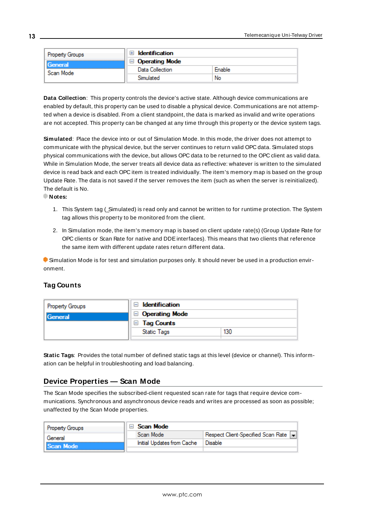| <b>Property Groups</b> | Identification        |        |
|------------------------|-----------------------|--------|
| General<br>Scan Mode   | $\Box$ Operating Mode |        |
|                        | Data Collection       | Enable |
|                        | Simulated             | No     |

<span id="page-12-2"></span>**Data Collection**: This property controls the device's active state. Although device communications are enabled by default, this property can be used to disable a physical device. Communications are not attempted when a device is disabled. From a client standpoint, the data is marked as invalid and write operations are not accepted. This property can be changed at any time through this property or the device system tags.

<span id="page-12-3"></span>**Simulated**: Place the device into or out of Simulation Mode. In this mode, the driver does not attempt to communicate with the physical device, but the server continues to return valid OPC data. Simulated stops physical communications with the device, but allows OPC data to be returned to the OPC client as valid data. While in Simulation Mode, the server treats all device data as reflective: whatever is written to the simulated device is read back and each OPC item is treated individually. The item's memory map is based on the group Update Rate. The data is not saved if the server removes the item (such as when the server is reinitialized). The default is No.

**Notes:**

- 1. This System tag (\_Simulated) is read only and cannot be written to for runtime protection. The System tag allows this property to be monitored from the client.
- 2. In Simulation mode, the item's memory map is based on client update rate(s) (Group Update Rate for OPC clients or Scan Rate for native and DDEinterfaces). This means that two clients that reference the same item with different update rates return different data.

 Simulation Mode is for test and simulation purposes only. It should never be used in a production environment.

## <span id="page-12-0"></span>**Tag Counts**

| Property Groups | Identification<br>$\overline{}$ |     |
|-----------------|---------------------------------|-----|
| General         | $\Box$ Operating Mode           |     |
|                 | $\Box$ Tag Counts               |     |
|                 | <b>Static Tags</b>              | 130 |
|                 |                                 |     |

**Static Tags**: Provides the total number of defined static tags at this level (device or channel). This information can be helpful in troubleshooting and load balancing.

## <span id="page-12-1"></span>**Device Properties — Scan Mode**

The Scan Mode specifies the subscribed-client requested scan rate for tags that require device communications. Synchronous and asynchronous device reads and writes are processed as soon as possible; unaffected by the Scan Mode properties.

| <b>Property Groups</b> | Scan Mode                  |                                    |
|------------------------|----------------------------|------------------------------------|
| General                | Scan Mode                  | Respect Client-Specified Scan Rate |
| Il Scan Mode           | Initial Updates from Cache | Disable                            |
|                        |                            |                                    |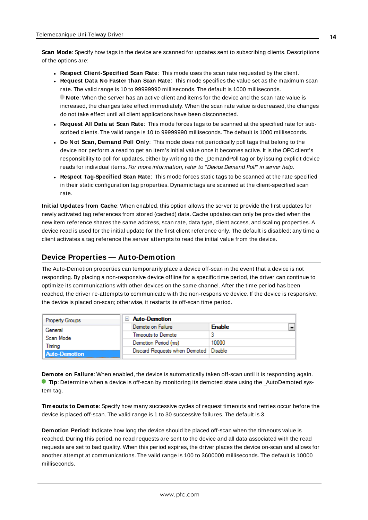<span id="page-13-6"></span>**Scan Mode**: Specify how tags in the device are scanned for updates sent to subscribing clients. Descriptions of the options are:

- <sup>l</sup> **Respect Client-Specified Scan Rate**: This mode uses the scan rate requested by the client.
- <sup>l</sup> **Request Data No Faster than Scan Rate**: This mode specifies the value set as the maximum scan rate. The valid range is 10 to 99999990 milliseconds. The default is 1000 milliseconds. **Note**: When the server has an active client and items for the device and the scan rate value is increased, the changes take effect immediately. When the scan rate value is decreased, the changes do not take effect until all client applications have been disconnected.
- <sup>l</sup> **Request All Data at Scan Rate**: This mode forces tags to be scanned at the specified rate for subscribed clients. The valid range is 10 to 99999990 milliseconds. The default is 1000 milliseconds.
- <span id="page-13-3"></span><sup>l</sup> **Do Not Scan, Demand Poll Only**: This mode does not periodically poll tags that belong to the device nor perform a read to get an item's initial value once it becomes active. It is the OPC client's responsibility to poll for updates, either by writing to the \_DemandPoll tag or by issuing explicit device reads for individual items. For more information, refer to "Device Demand Poll" in server help.
- <span id="page-13-5"></span><sup>l</sup> **Respect Tag-Specified Scan Rate**: This mode forces static tags to be scanned at the rate specified in their static configuration tag properties. Dynamic tags are scanned at the client-specified scan rate.

<span id="page-13-4"></span>**Initial Updates from Cache**: When enabled, this option allows the server to provide the first updates for newly activated tag references from stored (cached) data. Cache updates can only be provided when the new item reference shares the same address, scan rate, data type, client access, and scaling properties. A device read is used for the initial update for the first client reference only. The default is disabled; any time a client activates a tag reference the server attempts to read the initial value from the device.

## <span id="page-13-0"></span>**Device Properties — Auto-Demotion**

The Auto-Demotion properties can temporarily place a device off-scan in the event that a device is not responding. By placing a non-responsive device offline for a specific time period, the driver can continue to optimize its communications with other devices on the same channel. After the time period has been reached, the driver re-attempts to communicate with the non-responsive device. If the device is responsive, the device is placed on-scan; otherwise, it restarts its off-scan time period.

| <b>Property Groups</b> | $\Box$ Auto-Demotion                    |               |
|------------------------|-----------------------------------------|---------------|
| General                | Demote on Failure                       | <b>Enable</b> |
| Scan Mode              | Timeouts to Demote                      |               |
| Timina                 | Demotion Period (ms)                    | 10000         |
| <b>Auto-Demotion</b>   | Discard Requests when Demoted   Disable |               |
|                        |                                         |               |

<span id="page-13-1"></span>**Demote on Failure**: When enabled, the device is automatically taken off-scan until it is responding again. **Tip**: Determine when a device is off-scan by monitoring its demoted state using the AutoDemoted system tag.

<span id="page-13-7"></span>**Timeouts to Demote**: Specify how many successive cycles of request timeouts and retries occur before the device is placed off-scan. The valid range is 1 to 30 successive failures. The default is 3.

<span id="page-13-2"></span>**Demotion Period**: Indicate how long the device should be placed off-scan when the timeouts value is reached. During this period, no read requests are sent to the device and all data associated with the read requests are set to bad quality. When this period expires, the driver places the device on-scan and allows for another attempt at communications. The valid range is 100 to 3600000 milliseconds. The default is 10000 milliseconds.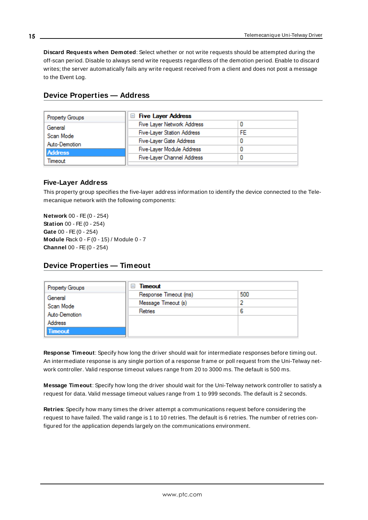<span id="page-14-3"></span>**Discard Requests when Demoted**: Select whether or not write requests should be attempted during the off-scan period. Disable to always send write requests regardless of the demotion period. Enable to discard writes; the server automatically fails any write request received from a client and does not post a message to the Event Log.

<span id="page-14-0"></span>

|  |  |  | Device Properties - Address |
|--|--|--|-----------------------------|
|--|--|--|-----------------------------|

| Property Groups                            | <b>Five Layer Address</b>         |    |
|--------------------------------------------|-----------------------------------|----|
| General                                    | Five Layer Network Address        |    |
| Scan Mode                                  | <b>Five-Layer Station Address</b> | FF |
| Auto-Demotion<br><b>Address</b><br>Fimeout | Five-Layer Gate Address           |    |
|                                            | Five-Layer Module Address         |    |
|                                            | <b>Five-Layer Channel Address</b> |    |
|                                            |                                   |    |

### <span id="page-14-4"></span>**Five-Layer Address**

This property group specifies the five-layer address information to identify the device connected to the Telemecanique network with the following components:

<span id="page-14-11"></span><span id="page-14-8"></span><span id="page-14-7"></span><span id="page-14-5"></span><span id="page-14-2"></span>**Network** 00 - FE(0 - 254) **Station** 00 - FE (0 - 254) **Gate** 00 - FE(0 - 254) **Module** Rack 0 - F(0 - 15) / Module 0 - 7 **Channel** 00 - FE(0 - 254)

## <span id="page-14-1"></span>**Device Properties — Timeout**

| <b>Property Groups</b> | Timeout<br>$\overline{\phantom{a}}$ |     |
|------------------------|-------------------------------------|-----|
| General                | Response Timeout (ms)               | 500 |
| Scan Mode              | Message Timeout (s)                 | 2   |
| Auto-Demotion          | Retries                             | 6   |
| <b>Address</b>         |                                     |     |
| <b>Timeout</b>         |                                     |     |

<span id="page-14-9"></span>**Response Timeout**: Specify how long the driver should wait for intermediate responses before timing out. An intermediate response is any single portion of a response frame or poll request from the Uni-Telway network controller. Valid response timeout values range from 20 to 3000 ms. The default is 500 ms.

<span id="page-14-6"></span>**Message Timeout**: Specify how long the driver should wait for the Uni-Telway network controller to satisfy a request for data. Valid message timeout values range from 1 to 999 seconds. The default is 2 seconds.

<span id="page-14-10"></span>**Retries**: Specify how many times the driver attempt a communications request before considering the request to have failed. The valid range is 1 to 10 retries. The default is 6 retries. The number of retries configured for the application depends largely on the communications environment.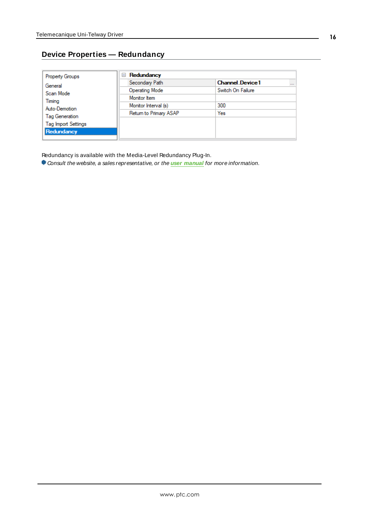# <span id="page-15-0"></span>**Device Properties — Redundancy**

| <b>Property Groups</b>     | Redundancy<br>$=$      |                                    |
|----------------------------|------------------------|------------------------------------|
| General                    | Secondary Path         | <b>Channel</b> Device1<br>$\cdots$ |
| Scan Mode                  | Operating Mode         | Switch On Failure                  |
| Timing                     | Monitor Item           |                                    |
| Auto-Demotion              | Monitor Interval (s)   | 300                                |
| <b>Tag Generation</b>      | Return to Primary ASAP | Yes                                |
| <b>Tag Import Settings</b> |                        |                                    |
|                            |                        |                                    |
| Redundancy                 |                        |                                    |

Redundancy is available with the Media-Level Redundancy Plug-In.

Consult the website, a sales representative, or the **user [manual](https://www.kepware.com/getattachment/35461efd-b53a-4219-a109-a89fad20b230/media-level-redundancy-manual.pdf)** for more information.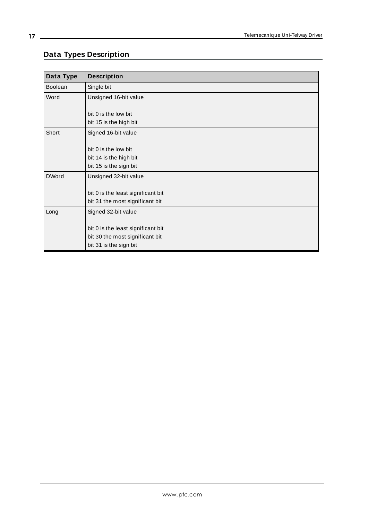# <span id="page-16-0"></span>**Data Types Description**

<span id="page-16-5"></span><span id="page-16-4"></span><span id="page-16-3"></span><span id="page-16-2"></span><span id="page-16-1"></span>

| Data Type    | <b>Description</b>                 |
|--------------|------------------------------------|
| Boolean      | Single bit                         |
| Word         | Unsigned 16-bit value              |
|              |                                    |
|              | bit 0 is the low bit               |
|              | bit 15 is the high bit             |
| Short        | Signed 16-bit value                |
|              |                                    |
|              | bit 0 is the low bit               |
|              | bit 14 is the high bit             |
|              | bit 15 is the sign bit             |
| <b>DWord</b> | Unsigned 32-bit value              |
|              |                                    |
|              | bit 0 is the least significant bit |
|              | bit 31 the most significant bit    |
| Long         | Signed 32-bit value                |
|              |                                    |
|              | bit 0 is the least significant bit |
|              | bit 30 the most significant bit    |
|              | bit 31 is the sign bit             |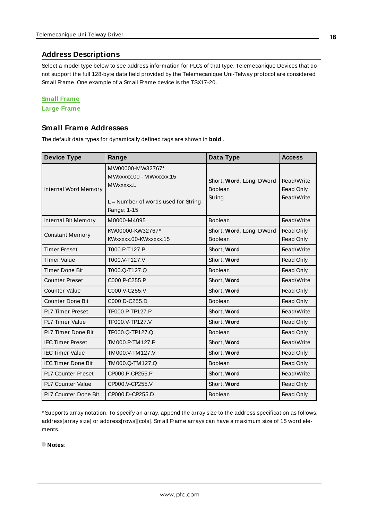## <span id="page-17-6"></span><span id="page-17-0"></span>**Address Descriptions**

Select a model type below to see address information for PLCs of that type. Telemecanique Devices that do not support the full 128-byte data field provided by the Telemecanique Uni-Telway protocol are considered Small Frame. One example of a Small Frame device is the TSX17-20.

#### **Small Frame**

#### <span id="page-17-1"></span>**Large Frame**

## **Small Frame Addresses**

The default data types for dynamically defined tags are shown in **bold** .

<span id="page-17-8"></span><span id="page-17-5"></span><span id="page-17-4"></span><span id="page-17-3"></span>

| <b>Device Type</b>          | Range                                                                                                            | Data Type                                     | <b>Access</b>                         |
|-----------------------------|------------------------------------------------------------------------------------------------------------------|-----------------------------------------------|---------------------------------------|
| <b>Internal Word Memory</b> | MW00000-MW32767*<br>MWxxxxx.00 - MWxxxxx.15<br>MWxxxxx.L<br>$L =$ Number of words used for String<br>Range: 1-15 | Short, Word, Long, DWord<br>Boolean<br>String | Read/Write<br>Read Only<br>Read/Write |
| Internal Bit Memory         | M0000-M4095                                                                                                      | Boolean                                       | Read/Write                            |
| <b>Constant Memory</b>      | KW00000-KW32767*<br>KWxxxxx.00-KWxxxxx.15                                                                        | Short, Word, Long, DWord<br>Boolean           | Read Only<br>Read Only                |
| <b>Timer Preset</b>         | T000.P-T127.P                                                                                                    | Short, Word                                   | Read/Write                            |
| <b>Timer Value</b>          | T000.V-T127.V                                                                                                    | Short, Word                                   | Read Only                             |
| <b>Timer Done Bit</b>       | T000.Q-T127.Q                                                                                                    | Boolean                                       | Read Only                             |
| <b>Counter Preset</b>       | C000.P-C255.P                                                                                                    | Short, Word                                   | Read/Write                            |
| <b>Counter Value</b>        | C000.V-C255.V                                                                                                    | Short, Word                                   | Read Only                             |
| <b>Counter Done Bit</b>     | C000.D-C255.D                                                                                                    | Boolean                                       | Read Only                             |
| <b>PL7 Timer Preset</b>     | TP000.P-TP127.P                                                                                                  | Short, Word                                   | Read/Write                            |
| <b>PL7 Timer Value</b>      | TP000.V-TP127.V                                                                                                  | Short, Word                                   | Read Only                             |
| <b>PL7 Timer Done Bit</b>   | TP000.Q-TP127.Q                                                                                                  | Boolean                                       | Read Only                             |
| <b>IEC Timer Preset</b>     | TM000.P-TM127.P                                                                                                  | Short, Word                                   | Read/Write                            |
| <b>IEC Timer Value</b>      | TM000.V-TM127.V                                                                                                  | Short, Word                                   | Read Only                             |
| <b>IEC Timer Done Bit</b>   | TM000.Q-TM127.Q                                                                                                  | Boolean                                       | Read Only                             |
| <b>PL7 Counter Preset</b>   | CP000.P-CP255.P                                                                                                  | Short, Word                                   | Read/Write                            |
| PL7 Counter Value           | CP000.V-CP255.V                                                                                                  | Short, Word                                   | Read Only                             |
| <b>PL7 Counter Done Bit</b> | CP000.D-CP255.D                                                                                                  | <b>Boolean</b>                                | Read Only                             |

<span id="page-17-7"></span><span id="page-17-2"></span>\* Supports array notation. To specify an array, append the array size to the address specification as follows: address[array size] or address[rows][cols]. Small Frame arrays can have a maximum size of 15 word elements.

**Notes**: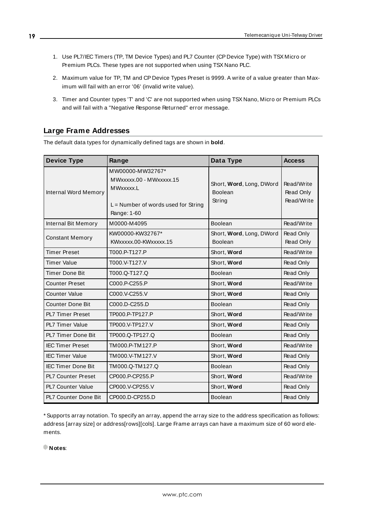- 1. Use PL7/IEC Timers (TP, TM Device Types) and PL7 Counter (CP Device Type) with TSX Micro or Premium PLCs. These types are not supported when using TSX Nano PLC.
- 2. Maximum value for TP, TM and CP Device Types Preset is 9999. A write of a value greater than Maximum will fail with an error '06' (invalid write value).
- 3. Timer and Counter types 'T' and 'C' are not supported when using TSX Nano, Micro or Premium PLCs and will fail with a "Negative Response Returned" error message.

## <span id="page-18-0"></span>**Large Frame Addresses**

The default data types for dynamically defined tags are shown in **bold**.

<span id="page-18-1"></span>

| <b>Device Type</b>          | Range                                                                                                            | Data Type                                     | <b>Access</b>                         |
|-----------------------------|------------------------------------------------------------------------------------------------------------------|-----------------------------------------------|---------------------------------------|
| <b>Internal Word Memory</b> | MW00000-MW32767*<br>MWxxxxx.00 - MWxxxxx.15<br>MWxxxxx.L<br>$L =$ Number of words used for String<br>Range: 1-60 | Short, Word, Long, DWord<br>Boolean<br>String | Read/Write<br>Read Only<br>Read/Write |
| Internal Bit Memory         | M0000-M4095                                                                                                      | Boolean                                       | Read/Write                            |
| <b>Constant Memory</b>      | KW00000-KW32767*<br>KWxxxxx.00-KWxxxxx.15                                                                        | Short, Word, Long, DWord<br><b>Boolean</b>    | Read Only<br>Read Only                |
| <b>Timer Preset</b>         | T000.P-T127.P                                                                                                    | Short, Word                                   | Read/Write                            |
| <b>Timer Value</b>          | T000.V-T127.V                                                                                                    | Short, Word                                   | Read Only                             |
| <b>Timer Done Bit</b>       | T000.Q-T127.Q                                                                                                    | Boolean                                       | Read Only                             |
| <b>Counter Preset</b>       | C000.P-C255.P                                                                                                    | Short, Word                                   | Read/Write                            |
| <b>Counter Value</b>        | C000.V-C255.V                                                                                                    | Short, Word                                   | Read Only                             |
| <b>Counter Done Bit</b>     | C000.D-C255.D                                                                                                    | Boolean                                       | Read Only                             |
| <b>PL7 Timer Preset</b>     | TP000.P-TP127.P                                                                                                  | Short, Word                                   | Read/Write                            |
| <b>PL7 Timer Value</b>      | TP000.V-TP127.V                                                                                                  | Short, Word                                   | Read Only                             |
| PL7 Timer Done Bit          | TP000.Q-TP127.Q                                                                                                  | Boolean                                       | Read Only                             |
| <b>IEC Timer Preset</b>     | TM000.P-TM127.P                                                                                                  | Short, Word                                   | Read/Write                            |
| <b>IEC Timer Value</b>      | TM000.V-TM127.V                                                                                                  | Short, Word                                   | Read Only                             |
| <b>IEC Timer Done Bit</b>   | TM000.Q-TM127.Q                                                                                                  | Boolean                                       | Read Only                             |
| <b>PL7 Counter Preset</b>   | CP000.P-CP255.P                                                                                                  | Short, Word                                   | Read/Write                            |
| PL7 Counter Value           | CP000.V-CP255.V                                                                                                  | Short, Word                                   | Read Only                             |
| PL7 Counter Done Bit        | CP000.D-CP255.D                                                                                                  | Boolean                                       | Read Only                             |

\* Supports array notation. To specify an array, append the array size to the address specification as follows: address [array size] or address[rows][cols]. Large Frame arrays can have a maximum size of 60 word elements.

**Notes**: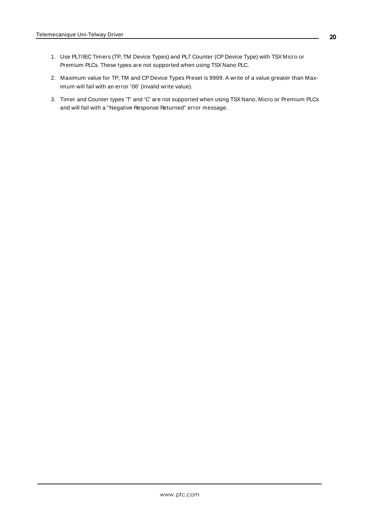- 1. Use PL7/IEC Timers (TP, TM Device Types) and PL7 Counter (CP Device Type) with TSX Micro or Premium PLCs. These types are not supported when using TSX Nano PLC.
- 2. Maximum value for TP, TM and CP Device Types Preset is 9999. A write of a value greater than Maximum will fail with an error '06' (invalid write value).
- 3. Timer and Counter types 'T' and 'C' are not supported when using TSX Nano, Micro or Premium PLCs and will fail with a "Negative Response Returned" error message.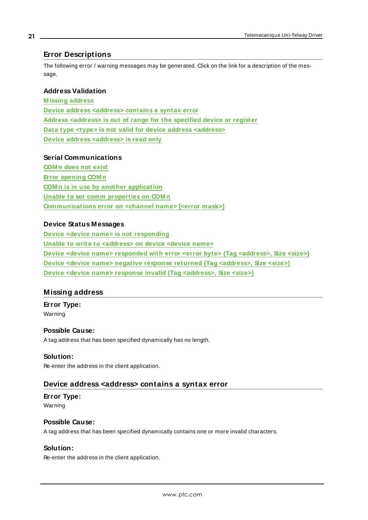## <span id="page-20-0"></span>**Error Descriptions**

The following error / warning messages may be generated. Click on the link for a description of the message.

#### **Address Validation**

**M issing address Device address <address> contains a syntax error Address <address> is out of range for the specified device or register Data type <type> is not valid for device address <address> Device address <address> is read only**

### **Serial Communications**

**COM n does not exist Error opening COM n COM n is in use by another application Unable to set comm properties on COM n Communications error on <channel name> [<error mask>]**

#### **Device Status Messages**

**Device <device name> is not responding Unable to write to <address> on device <device name> Device <device name> responded with error <error byte> (Tag <address>, Size <size>) Device <device name> negative response returned (Tag <address>, Size <size>) Device <device name> response invalid (Tag <address>, Size <size>)**

## <span id="page-20-1"></span>**Missing address**

**Error Type:**

Warning

#### **Possible Cause:**

A tag address that has been specified dynamically has no length.

#### **Solution:**

<span id="page-20-2"></span>Re-enter the address in the client application.

#### **Device address <address> contains a syntax error**

# **Error Type:**

Warning

## **Possible Cause:**

A tag address that has been specified dynamically contains one or more invalid characters.

## **Solution:**

Re-enter the address in the client application.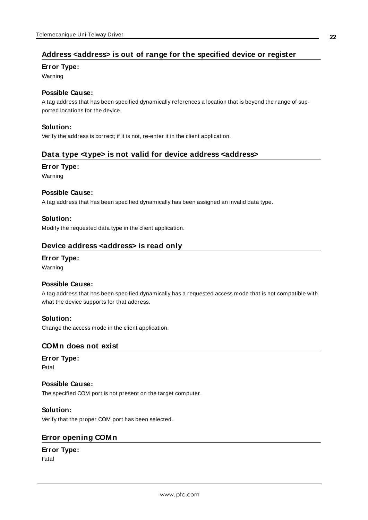# <span id="page-21-0"></span>**Address <address> is out of range for the specified device or register**

#### **Error Type:**

Warning

## **Possible Cause:**

A tag address that has been specified dynamically references a location that is beyond the range of supported locations for the device.

## **Solution:**

<span id="page-21-1"></span>Verify the address is correct; if it is not, re-enter it in the client application.

## **Data type <type> is not valid for device address <address>**

#### **Error Type:**

Warning

### **Possible Cause:**

A tag address that has been specified dynamically has been assigned an invalid data type.

### **Solution:**

<span id="page-21-2"></span>Modify the requested data type in the client application.

## **Device address <address> is read only**

# **Error Type:**

Warning

#### **Possible Cause:**

A tag address that has been specified dynamically has a requested access mode that is not compatible with what the device supports for that address.

## **Solution:**

<span id="page-21-3"></span>Change the access mode in the client application.

## **COMn does not exist**

### **Error Type:**

Fatal

## **Possible Cause:**

The specified COM port is not present on the target computer.

## **Solution:**

<span id="page-21-4"></span>Verify that the proper COM port has been selected.

## **Error opening COMn**

## **Error Type:**

Fatal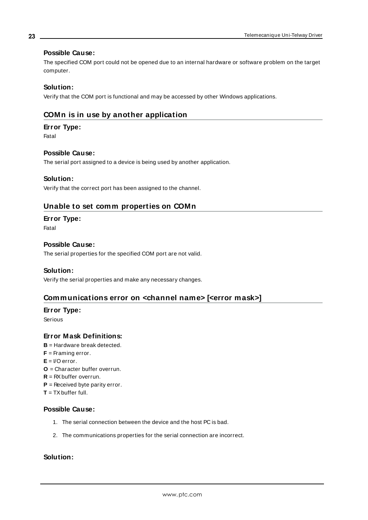#### **Possible Cause:**

The specified COM port could not be opened due to an internal hardware or software problem on the target computer.

### **Solution:**

<span id="page-22-0"></span>Verify that the COM port is functional and may be accessed by other Windows applications.

## **COMn is in use by another application**

#### **Error Type:**

Fatal

#### **Possible Cause:**

The serial port assigned to a device is being used by another application.

#### **Solution:**

<span id="page-22-1"></span>Verify that the correct port has been assigned to the channel.

## **Unable to set comm properties on COMn**

#### **Error Type:**

Fatal

#### **Possible Cause:**

The serial properties for the specified COM port are not valid.

#### **Solution:**

<span id="page-22-2"></span>Verify the serial properties and make any necessary changes.

## **Communications error on <channel name> [<error mask>]**

#### **Error Type:**

Serious

#### **Error Mask Definitions:**

- <span id="page-22-3"></span>**B** = Hardware break detected.
- **F** = Framing error.
- <span id="page-22-4"></span> $E = I/O$  error.
- **O** = Character buffer overrun.
- <span id="page-22-5"></span> $R = RX$  buffer overrun.
- **P** = Received byte parity error.
- **T** = TXbuffer full.

#### **Possible Cause:**

- 1. The serial connection between the device and the host PC is bad.
- 2. The communications properties for the serial connection are incorrect.

## **Solution:**

**23**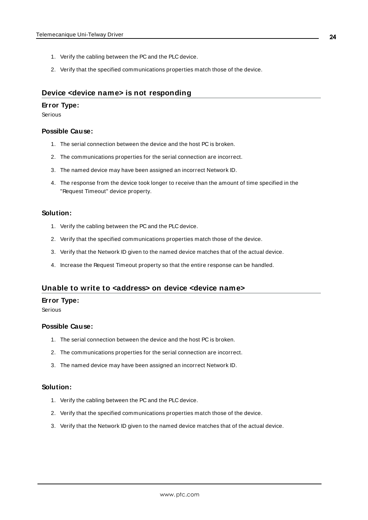- 1. Verify the cabling between the PC and the PLC device.
- 2. Verify that the specified communications properties match those of the device.

## <span id="page-23-0"></span>**Device <device name> is not responding**

#### **Error Type:**

Serious

#### **Possible Cause:**

- 1. The serial connection between the device and the host PC is broken.
- 2. The communications properties for the serial connection are incorrect.
- 3. The named device may have been assigned an incorrect Network ID.
- 4. The response from the device took longer to receive than the amount of time specified in the "Request Timeout" device property.

#### **Solution:**

- 1. Verify the cabling between the PC and the PLC device.
- 2. Verify that the specified communications properties match those of the device.
- 3. Verify that the Network ID given to the named device matches that of the actual device.
- 4. Increase the Request Timeout property so that the entire response can be handled.

## <span id="page-23-1"></span>**Unable to write to <address> on device <device name>**

#### **Error Type:**

Serious

#### **Possible Cause:**

- 1. The serial connection between the device and the host PC is broken.
- 2. The communications properties for the serial connection are incorrect.
- 3. The named device may have been assigned an incorrect Network ID.

#### **Solution:**

- 1. Verify the cabling between the PC and the PLC device.
- 2. Verify that the specified communications properties match those of the device.
- 3. Verify that the Network ID given to the named device matches that of the actual device.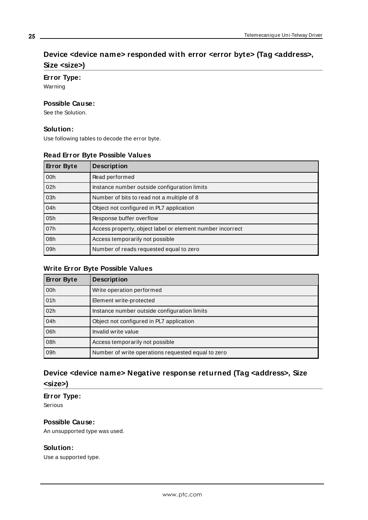# <span id="page-24-0"></span>**Device <device name> responded with error <error byte> (Tag <address>, Size <size>)**

### **Error Type:**

Warning

## **Possible Cause:**

See the Solution.

#### **Solution:**

Use following tables to decode the error byte.

### **Read Error Byte Possible Values**

| <b>Error Byte</b> | <b>Description</b>                                        |
|-------------------|-----------------------------------------------------------|
| 00h               | Read performed                                            |
| 02h               | Instance number outside configuration limits              |
| 03h               | Number of bits to read not a multiple of 8                |
| 04h               | Object not configured in PL7 application                  |
| 05h               | Response buffer overflow                                  |
| 07h               | Access property, object label or element number incorrect |
| 08h               | Access temporarily not possible                           |
| 09h               | Number of reads requested equal to zero                   |

## **Write Error Byte Possible Values**

| <b>Error Byte</b> | <b>Description</b>                                 |
|-------------------|----------------------------------------------------|
| 00h               | Write operation performed                          |
| 01h               | Element write-protected                            |
| 02h               | Instance number outside configuration limits       |
| 04h               | Object not configured in PL7 application           |
| 06h               | Invalid write value                                |
| 08h               | Access temporarily not possible                    |
| 09h               | Number of write operations requested equal to zero |

# <span id="page-24-1"></span>**Device <device name> Negative response returned (Tag <address>, Size <size>)**

## **Error Type:**

Serious

## **Possible Cause:**

An unsupported type was used.

## **Solution:**

Use a supported type.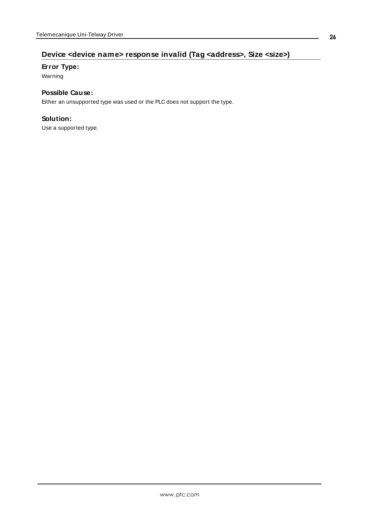# <span id="page-25-0"></span>**Device <device name> response invalid (Tag <address>, Size <size>)**

### **Error Type:**

Warning

## **Possible Cause:**

Either an unsupported type was used or the PLC does not support the type.

## **Solution:**

Use a supported type.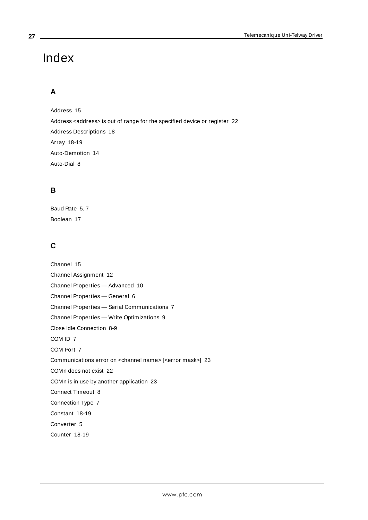# <span id="page-26-0"></span>Index

# **A**

Address [15](#page-14-0) Address <address> is out of range for the specified device or register [22](#page-21-0) Address Descriptions [18](#page-17-0) Array [18-19](#page-17-2) Auto-Demotion [14](#page-13-0) Auto-Dial [8](#page-7-2)

# **B**

Baud Rate [5](#page-4-1), [7](#page-6-4) Boolean [17](#page-16-1)

# **C**

Channel [15](#page-14-2) Channel Assignment [12](#page-11-2) Channel Properties — Advanced [10](#page-9-0) Channel Properties — General [6](#page-5-0) Channel Properties — Serial Communications [7](#page-6-1) Channel Properties — Write Optimizations [9](#page-8-2) Close Idle Connection [8-9](#page-7-3) COM ID [7](#page-6-5) COM Port [7](#page-6-6) Communications error on <channel name> [<error mask>] [23](#page-22-2) COMn does not exist [22](#page-21-3) COMn is in use by another application [23](#page-22-0) Connect Timeout [8](#page-7-4) Connection Type [7](#page-6-2) Constant [18-19](#page-17-3) Converter [5](#page-4-2) Counter [18-19](#page-17-4)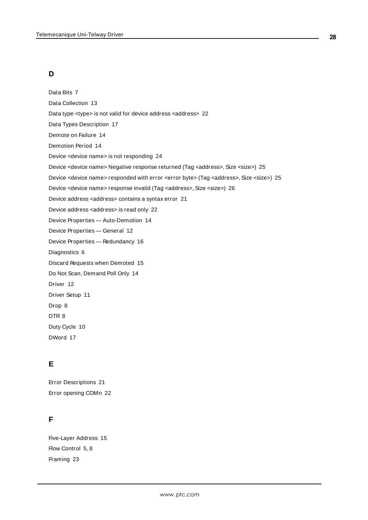# **D**

Data Bits [7](#page-6-7) Data Collection [13](#page-12-2) Data type <type> is not valid for device address <address> [22](#page-21-1) Data Types Description [17](#page-16-0) Demote on Failure [14](#page-13-1) Demotion Period [14](#page-13-2) Device <device name> is not responding [24](#page-23-0) Device <device name> Negative response returned (Tag <address>, Size <size>) [25](#page-24-1) Device <device name> responded with error <error byte> (Tag <address>, Size <size>) [25](#page-24-0) Device <device name> response invalid (Tag <address>, Size <size>) [26](#page-25-0) Device address <address> contains a syntax error [21](#page-20-2) Device address <address> is read only [22](#page-21-2) Device Properties — Auto-Demotion [14](#page-13-0) Device Properties — General [12](#page-11-0) Device Properties — Redundancy [16](#page-15-0) Diagnostics [6](#page-5-1) Discard Requests when Demoted [15](#page-14-3) Do Not Scan, Demand Poll Only [14](#page-13-3) Driver [12](#page-11-3) Driver Setup [11](#page-10-0) Drop [8](#page-7-5) DTR [8](#page-7-6) Duty Cycle [10](#page-9-1)

DWord [17](#page-16-2)

# **E**

Error Descriptions [21](#page-20-0) Error opening COMn [22](#page-21-4)

## **F**

Five-Layer Address [15](#page-14-4) Flow Control [5](#page-4-3), [8](#page-7-7) Framing [23](#page-22-3)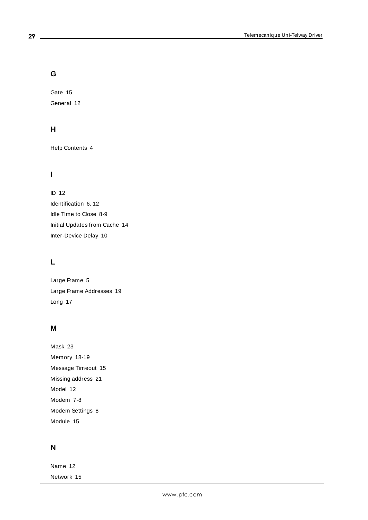# **G**

Gate [15](#page-14-5) General [12](#page-11-0)

# **H**

Help Contents [4](#page-3-0)

# **I**

ID [12](#page-11-4) Identification [6,](#page-5-2) [12](#page-11-5) Idle Time to Close [8-9](#page-7-8) Initial Updates from Cache [14](#page-13-4) Inter-Device Delay [10](#page-9-2)

# **L**

Large Frame [5](#page-4-4) Large Frame Addresses [19](#page-18-0) Long [17](#page-16-3)

# **M**

Mask [23](#page-22-2) Memory [18-19](#page-17-5) Message Timeout [15](#page-14-6) Missing address [21](#page-20-1) Model [12](#page-11-6) Modem [7-8](#page-6-8) Modem Settings [8](#page-7-1) Module [15](#page-14-7)

# **N**

Name [12](#page-11-7) Network [15](#page-14-8)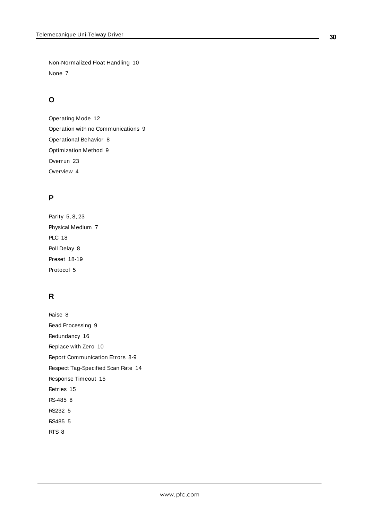Non-Normalized Float Handling [10](#page-9-3) None [7](#page-6-9)

# **O**

Operating Mode [12](#page-11-1) Operation with no Communications [9](#page-8-1) Operational Behavior [8](#page-7-0) Optimization Method [9](#page-8-3) Overrun [23](#page-22-4) Overview [4](#page-3-1)

# **P**

Parity [5](#page-4-5), [8](#page-7-9), [23](#page-22-5) Physical Medium [7](#page-6-10) PLC [18](#page-17-6) Poll Delay [8](#page-7-10) Preset [18-19](#page-17-7) Protocol [5](#page-4-6)

# **R**

Raise [8](#page-7-11) Read Processing [9](#page-8-4) Redundancy [16](#page-15-0) Replace with Zero [10](#page-9-4) Report Communication Errors [8-9](#page-7-12) Respect Tag-Specified Scan Rate [14](#page-13-5) Response Timeout [15](#page-14-9) Retries [15](#page-14-10) RS-485 [8](#page-7-13) RS232 [5](#page-4-7) RS485 [5](#page-4-7) RTS [8](#page-7-14)